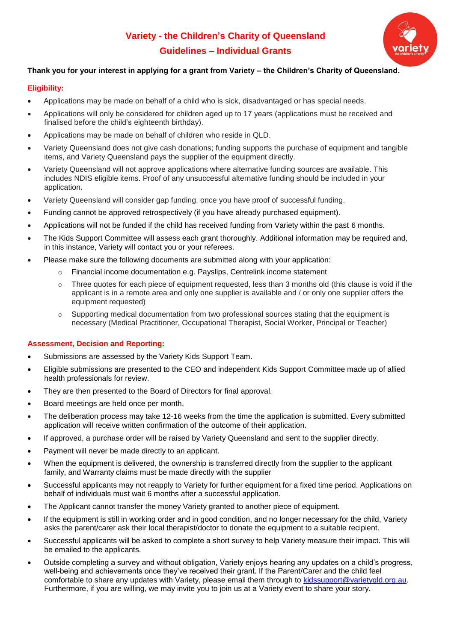# **Variety - the Children's Charity of Queensland Guidelines – Individual Grants**



## **Thank you for your interest in applying for a grant from Variety – the Children's Charity of Queensland.**

### **Eligibility:**

- Applications may be made on behalf of a child who is sick, disadvantaged or has special needs.
- Applications will only be considered for children aged up to 17 years (applications must be received and finalised before the child's eighteenth birthday).
- Applications may be made on behalf of children who reside in QLD.
- Variety Queensland does not give cash donations; funding supports the purchase of equipment and tangible items, and Variety Queensland pays the supplier of the equipment directly.
- Variety Queensland will not approve applications where alternative funding sources are available. This includes NDIS eligible items. Proof of any unsuccessful alternative funding should be included in your application.
- Variety Queensland will consider gap funding, once you have proof of successful funding.
- Funding cannot be approved retrospectively (if you have already purchased equipment).
- Applications will not be funded if the child has received funding from Variety within the past 6 months.
- The Kids Support Committee will assess each grant thoroughly. Additional information may be required and, in this instance, Variety will contact you or your referees.
- Please make sure the following documents are submitted along with your application:
	- o Financial income documentation e.g. Payslips, Centrelink income statement
	- $\circ$  Three quotes for each piece of equipment requested, less than 3 months old (this clause is void if the applicant is in a remote area and only one supplier is available and / or only one supplier offers the equipment requested)
	- $\circ$  Supporting medical documentation from two professional sources stating that the equipment is necessary (Medical Practitioner, Occupational Therapist, Social Worker, Principal or Teacher)

#### **Assessment, Decision and Reporting:**

- Submissions are assessed by the Variety Kids Support Team.
- Eligible submissions are presented to the CEO and independent Kids Support Committee made up of allied health professionals for review.
- They are then presented to the Board of Directors for final approval.
- Board meetings are held once per month.
- The deliberation process may take 12-16 weeks from the time the application is submitted. Every submitted application will receive written confirmation of the outcome of their application.
- If approved, a purchase order will be raised by Variety Queensland and sent to the supplier directly.
- Payment will never be made directly to an applicant.
- When the equipment is delivered, the ownership is transferred directly from the supplier to the applicant family, and Warranty claims must be made directly with the supplier
- Successful applicants may not reapply to Variety for further equipment for a fixed time period. Applications on behalf of individuals must wait 6 months after a successful application.
- The Applicant cannot transfer the money Variety granted to another piece of equipment.
- If the equipment is still in working order and in good condition, and no longer necessary for the child, Variety asks the parent/carer ask their local therapist/doctor to donate the equipment to a suitable recipient.
- Successful applicants will be asked to complete a short survey to help Variety measure their impact. This will be emailed to the applicants.
- Outside completing a survey and without obligation, Variety enjoys hearing any updates on a child's progress, well-being and achievements once they've received their grant. If the Parent/Carer and the child feel comfortable to share any updates with Variety, please email them through to [kidssupport@varietyqld.org.au.](mailto:kidssupport@varietyqld.org.au) Furthermore, if you are willing, we may invite you to join us at a Variety event to share your story.